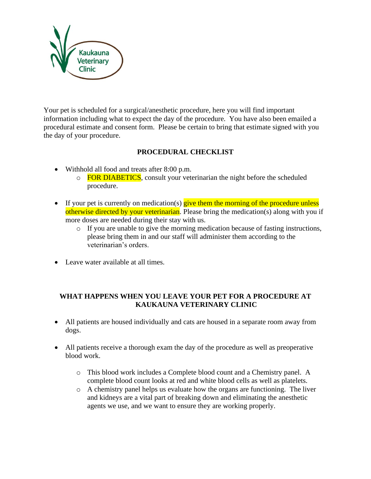

Your pet is scheduled for a surgical/anesthetic procedure, here you will find important information including what to expect the day of the procedure. You have also been emailed a procedural estimate and consent form. Please be certain to bring that estimate signed with you the day of your procedure.

## **PROCEDURAL CHECKLIST**

- Withhold all food and treats after 8:00 p.m.
	- o FOR DIABETICS, consult your veterinarian the night before the scheduled procedure.
- If your pet is currently on medication(s) give them the morning of the procedure unless otherwise directed by your veterinarian. Please bring the medication(s) along with you if more doses are needed during their stay with us.
	- o If you are unable to give the morning medication because of fasting instructions, please bring them in and our staff will administer them according to the veterinarian's orders.
- Leave water available at all times.

## **WHAT HAPPENS WHEN YOU LEAVE YOUR PET FOR A PROCEDURE AT KAUKAUNA VETERINARY CLINIC**

- All patients are housed individually and cats are housed in a separate room away from dogs.
- All patients receive a thorough exam the day of the procedure as well as preoperative blood work.
	- o This blood work includes a Complete blood count and a Chemistry panel. A complete blood count looks at red and white blood cells as well as platelets.
	- o A chemistry panel helps us evaluate how the organs are functioning. The liver and kidneys are a vital part of breaking down and eliminating the anesthetic agents we use, and we want to ensure they are working properly.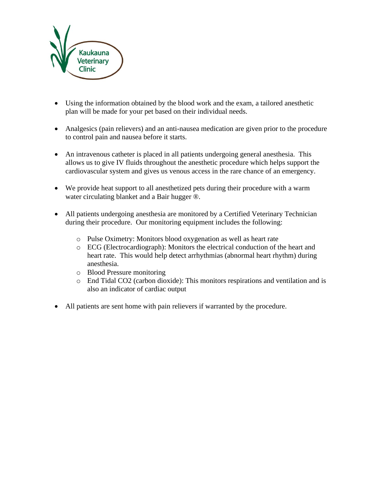

- Using the information obtained by the blood work and the exam, a tailored anesthetic plan will be made for your pet based on their individual needs.
- Analgesics (pain relievers) and an anti-nausea medication are given prior to the procedure to control pain and nausea before it starts.
- An intravenous catheter is placed in all patients undergoing general anesthesia. This allows us to give IV fluids throughout the anesthetic procedure which helps support the cardiovascular system and gives us venous access in the rare chance of an emergency.
- We provide heat support to all anesthetized pets during their procedure with a warm water circulating blanket and a Bair hugger ®.
- All patients undergoing anesthesia are monitored by a Certified Veterinary Technician during their procedure. Our monitoring equipment includes the following:
	- o Pulse Oximetry: Monitors blood oxygenation as well as heart rate
	- o ECG (Electrocardiograph): Monitors the electrical conduction of the heart and heart rate. This would help detect arrhythmias (abnormal heart rhythm) during anesthesia.
	- o Blood Pressure monitoring
	- o End Tidal CO2 (carbon dioxide): This monitors respirations and ventilation and is also an indicator of cardiac output
- All patients are sent home with pain relievers if warranted by the procedure.